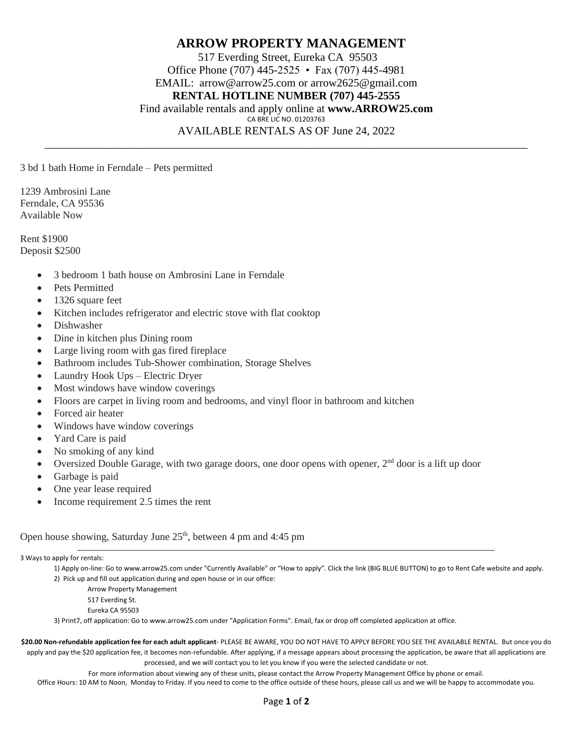## **ARROW PROPERTY MANAGEMENT** 517 Everding Street, Eureka CA 95503 Office Phone (707) 445-2525 • Fax (707) 445-4981 EMAIL: arrow@arrow25.com or arrow2625@gmail.com **RENTAL HOTLINE NUMBER (707) 445-2555** Find available rentals and apply online at **www.ARROW25.com** CA BRE LIC NO. 01203763 AVAILABLE RENTALS AS OF June 24, 2022

\_\_\_\_\_\_\_\_\_\_\_\_\_\_\_\_\_\_\_\_\_\_\_\_\_\_\_\_\_\_\_\_\_\_\_\_\_\_\_\_\_\_\_\_\_\_\_\_\_\_\_\_\_\_\_\_\_\_\_\_\_\_\_\_\_\_\_\_\_\_\_\_\_\_\_\_\_\_\_\_\_\_\_\_\_\_

3 bd 1 bath Home in Ferndale – Pets permitted

1239 Ambrosini Lane Ferndale, CA 95536 Available Now

Rent \$1900 Deposit \$2500

- 3 bedroom 1 bath house on Ambrosini Lane in Ferndale
- Pets Permitted
- 1326 square feet
- Kitchen includes refrigerator and electric stove with flat cooktop
- Dishwasher
- Dine in kitchen plus Dining room
- Large living room with gas fired fireplace
- Bathroom includes Tub-Shower combination, Storage Shelves
- Laundry Hook Ups Electric Dryer
- Most windows have window coverings
- Floors are carpet in living room and bedrooms, and vinyl floor in bathroom and kitchen
- Forced air heater
- Windows have window coverings
- Yard Care is paid
- No smoking of any kind
- Oversized Double Garage, with two garage doors, one door opens with opener,  $2<sup>nd</sup>$  door is a lift up door
- Garbage is paid
- One year lease required
- Income requirement 2.5 times the rent

Open house showing, Saturday June  $25<sup>th</sup>$ , between 4 pm and 4:45 pm

3 Ways to apply for rentals:

1) Apply on-line: Go to www.arrow25.com under "Currently Available" or "How to apply". Click the link (BIG BLUE BUTTON) to go to Rent Cafe website and apply. 2) Pick up and fill out application during and open house or in our office:

\_\_\_\_\_\_\_\_\_\_\_\_\_\_\_\_\_\_\_\_\_\_\_\_\_\_\_\_\_\_\_\_\_\_\_\_\_\_\_\_\_\_\_\_\_\_\_\_\_\_\_\_\_\_\_\_\_\_\_\_\_\_\_\_\_\_\_\_\_\_\_\_\_\_\_\_\_\_\_\_\_\_\_\_\_\_\_\_\_\_\_\_\_\_\_\_\_\_\_\_\_\_\_\_\_\_\_\_\_\_\_\_

Arrow Property Management

517 Everding St.

Eureka CA 95503

3) Print7, off application: Go to www.arrow25.com under "Application Forms". Email, fax or drop off completed application at office.

**\$20.00 Non-refundable application fee for each adult applicant**- PLEASE BE AWARE, YOU DO NOT HAVE TO APPLY BEFORE YOU SEE THE AVAILABLE RENTAL. But once you do apply and pay the \$20 application fee, it becomes non-refundable. After applying, if a message appears about processing the application, be aware that all applications are processed, and we will contact you to let you know if you were the selected candidate or not.

For more information about viewing any of these units, please contact the Arrow Property Management Office by phone or email.

Office Hours: 10 AM to Noon, Monday to Friday. If you need to come to the office outside of these hours, please call us and we will be happy to accommodate you.